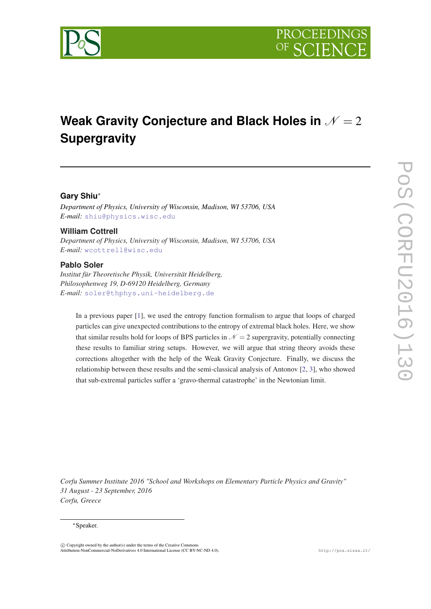

# **Weak Gravity Conjecture and Black Holes in**  $N = 2$ **Supergravity**

# **Gary Shiu**<sup>∗</sup>

*Department of Physics, University of Wisconsin, Madison, WI 53706, USA E-mail:* [shiu@physics.wisc.edu](mailto:shiu@physics.wisc.edu)

# **William Cottrell**

*Department of Physics, University of Wisconsin, Madison, WI 53706, USA E-mail:* [wcottrell@wisc.edu](mailto:wcottrell@wisc.edu)

# **Pablo Soler**

*Institut für Theoretische Physik, Universität Heidelberg, Philosophenweg 19, D-69120 Heidelberg, Germany E-mail:* [soler@thphys.uni-heidelberg.de](mailto:soler@thphys.uni-heidelberg.de)

In a previous paper [[1\]](#page-13-0), we used the entropy function formalism to argue that loops of charged particles can give unexpected contributions to the entropy of extremal black holes. Here, we show that similar results hold for loops of BPS particles in  $\mathcal{N} = 2$  supergravity, potentially connecting these results to familiar string setups. However, we will argue that string theory avoids these corrections altogether with the help of the Weak Gravity Conjecture. Finally, we discuss the relationship between these results and the semi-classical analysis of Antonov [\[2](#page-13-0), [3](#page-13-0)], who showed that sub-extremal particles suffer a 'gravo-thermal catastrophe' in the Newtonian limit.

*Corfu Summer Institute 2016 "School and Workshops on Elementary Particle Physics and Gravity" 31 August - 23 September, 2016 Corfu, Greece*

#### <sup>∗</sup>Speaker.

 $\overline{c}$  Copyright owned by the author(s) under the terms of the Creative Commons Attribution-NonCommercial-NoDerivatives 4.0 International License (CC BY-NC-ND 4.0). http://pos.sissa.it/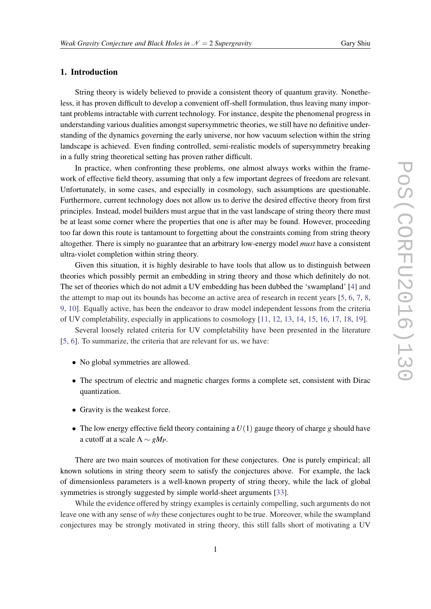# 1. Introduction

String theory is widely believed to provide a consistent theory of quantum gravity. Nonetheless, it has proven difficult to develop a convenient off-shell formulation, thus leaving many important problems intractable with current technology. For instance, despite the phenomenal progress in understanding various dualities amongst supersymmetric theories, we still have no definitive understanding of the dynamics governing the early universe, nor how vacuum selection within the string landscape is achieved. Even finding controlled, semi-realistic models of supersymmetry breaking in a fully string theoretical setting has proven rather difficult.

In practice, when confronting these problems, one almost always works within the framework of effective field theory, assuming that only a few important degrees of freedom are relevant. Unfortunately, in some cases, and especially in cosmology, such assumptions are questionable. Furthermore, current technology does not allow us to derive the desired effective theory from first principles. Instead, model builders must argue that in the vast landscape of string theory there must be at least some corner where the properties that one is after may be found. However, proceeding too far down this route is tantamount to forgetting about the constraints coming from string theory altogether. There is simply no guarantee that an arbitrary low-energy model *must* have a consistent ultra-violet completion within string theory.

Given this situation, it is highly desirable to have tools that allow us to distinguish between theories which possibly permit an embedding in string theory and those which definitely do not. The set of theories which do not admit a UV embedding has been dubbed the 'swampland' [\[4\]](#page-13-0) and the attempt to map out its bounds has become an active area of research in recent years [[5](#page-13-0), [6](#page-14-0), [7](#page-14-0), [8](#page-14-0), [9,](#page-14-0) [10](#page-14-0)]. Equally active, has been the endeavor to draw model independent lessons from the criteria of UV completability, especially in applications to cosmology [[11,](#page-14-0) [12](#page-14-0), [13,](#page-14-0) [14,](#page-14-0) [15](#page-14-0), [16,](#page-14-0) [17,](#page-14-0) [18](#page-14-0), [19\]](#page-14-0).

Several loosely related criteria for UV completability have been presented in the literature [[5](#page-13-0), [6](#page-14-0)]. To summarize, the criteria that are relevant for us, we have:

- No global symmetries are allowed.
- The spectrum of electric and magnetic charges forms a complete set, consistent with Dirac quantization.
- Gravity is the weakest force.
- The low energy effective field theory containing a  $U(1)$  gauge theory of charge g should have a cutoff at a scale  $\Lambda \sim gM_P$ .

There are two main sources of motivation for these conjectures. One is purely empirical; all known solutions in string theory seem to satisfy the conjectures above. For example, the lack of dimensionless parameters is a well-known property of string theory, while the lack of global symmetries is strongly suggested by simple world-sheet arguments [[33\]](#page-15-0).

While the evidence offered by stringy examples is certainly compelling, such arguments do not leave one with any sense of *why* these conjectures ought to be true. Moreover, while the swampland conjectures may be strongly motivated in string theory, this still falls short of motivating a UV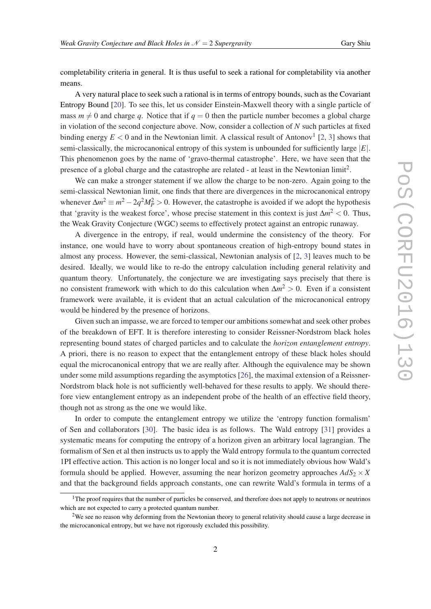completability criteria in general. It is thus useful to seek a rational for completability via another means.

A very natural place to seek such a rational is in terms of entropy bounds, such as the Covariant Entropy Bound [[20\]](#page-14-0). To see this, let us consider Einstein-Maxwell theory with a single particle of mass  $m \neq 0$  and charge *q*. Notice that if  $q = 0$  then the particle number becomes a global charge in violation of the second conjecture above. Now, consider a collection of *N* such particles at fixed binding energy  $E < 0$  and in the Newtonian limit. A classical result of Antonov<sup>1</sup> [[2](#page-13-0), [3](#page-13-0)] shows that semi-classically, the microcanonical entropy of this system is unbounded for sufficiently large |*E*|. This phenomenon goes by the name of 'gravo-thermal catastrophe'. Here, we have seen that the presence of a global charge and the catastrophe are related - at least in the Newtonian limit<sup>2</sup>.

We can make a stronger statement if we allow the charge to be non-zero. Again going to the semi-classical Newtonian limit, one finds that there are divergences in the microcanonical entropy whenever  $\Delta m^2 \equiv m^2 - 2q^2 M_P^2 > 0$ . However, the catastrophe is avoided if we adopt the hypothesis that 'gravity is the weakest force', whose precise statement in this context is just  $\Delta m^2 < 0$ . Thus, the Weak Gravity Conjecture (WGC) seems to effectively protect against an entropic runaway.

A divergence in the entropy, if real, would undermine the consistency of the theory. For instance, one would have to worry about spontaneous creation of high-entropy bound states in almost any process. However, the semi-classical, Newtonian analysis of [[2](#page-13-0), [3\]](#page-13-0) leaves much to be desired. Ideally, we would like to re-do the entropy calculation including general relativity and quantum theory. Unfortunately, the conjecture we are investigating says precisely that there is no consistent framework with which to do this calculation when ∆*m* <sup>2</sup> > 0. Even if a consistent framework were available, it is evident that an actual calculation of the microcanonical entropy would be hindered by the presence of horizons.

Given such an impasse, we are forced to temper our ambitions somewhat and seek other probes of the breakdown of EFT. It is therefore interesting to consider Reissner-Nordstrom black holes representing bound states of charged particles and to calculate the *horizon entanglement entropy*. A priori, there is no reason to expect that the entanglement entropy of these black holes should equal the microcanonical entropy that we are really after. Although the equivalence may be shown under some mild assumptions regarding the asymptotics [\[26](#page-14-0)], the maximal extension of a Reissner-Nordstrom black hole is not sufficiently well-behaved for these results to apply. We should therefore view entanglement entropy as an independent probe of the health of an effective field theory, though not as strong as the one we would like.

In order to compute the entanglement entropy we utilize the 'entropy function formalism' of Sen and collaborators [\[30](#page-15-0)]. The basic idea is as follows. The Wald entropy [\[31](#page-15-0)] provides a systematic means for computing the entropy of a horizon given an arbitrary local lagrangian. The formalism of Sen et al then instructs us to apply the Wald entropy formula to the quantum corrected 1PI effective action. This action is no longer local and so it is not immediately obvious how Wald's formula should be applied. However, assuming the near horizon geometry approaches  $AdS_2 \times X$ and that the background fields approach constants, one can rewrite Wald's formula in terms of a

<sup>&</sup>lt;sup>1</sup>The proof requires that the number of particles be conserved, and therefore does not apply to neutrons or neutrinos which are not expected to carry a protected quantum number.

<sup>&</sup>lt;sup>2</sup>We see no reason why deforming from the Newtonian theory to general relativity should cause a large decrease in the microcanonical entropy, but we have not rigorously excluded this possibility.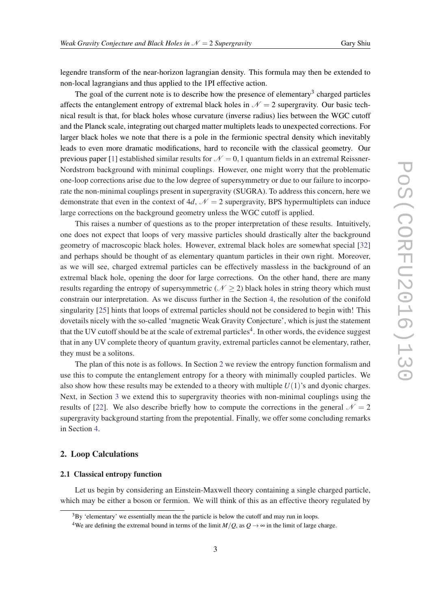legendre transform of the near-horizon lagrangian density. This formula may then be extended to non-local lagrangians and thus applied to the 1PI effective action.

The goal of the current note is to describe how the presence of elementary<sup>3</sup> charged particles affects the entanglement entropy of extremal black holes in  $\mathcal{N} = 2$  supergravity. Our basic technical result is that, for black holes whose curvature (inverse radius) lies between the WGC cutoff and the Planck scale, integrating out charged matter multiplets leads to unexpected corrections. For larger black holes we note that there is a pole in the fermionic spectral density which inevitably leads to even more dramatic modifications, hard to reconcile with the classical geometry. Our previous paper [[1](#page-13-0)] established similar results for  $\mathcal{N} = 0,1$  quantum fields in an extremal Reissner-Nordstrom background with minimal couplings. However, one might worry that the problematic one-loop corrections arise due to the low degree of supersymmetry or due to our failure to incorporate the non-minimal couplings present in supergravity (SUGRA). To address this concern, here we demonstrate that even in the context of 4*d*,  $\mathcal{N} = 2$  supergravity, BPS hypermultiplets can induce large corrections on the background geometry unless the WGC cutoff is applied.

This raises a number of questions as to the proper interpretation of these results. Intuitively, one does not expect that loops of very massive particles should drastically alter the background geometry of macroscopic black holes. However, extremal black holes are somewhat special [\[32](#page-15-0)] and perhaps should be thought of as elementary quantum particles in their own right. Moreover, as we will see, charged extremal particles can be effectively massless in the background of an extremal black hole, opening the door for large corrections. On the other hand, there are many results regarding the entropy of supersymmetric ( $N \ge 2$ ) black holes in string theory which must constrain our interpretation. As we discuss further in the Section [4,](#page-12-0) the resolution of the conifold singularity [\[25](#page-14-0)] hints that loops of extremal particles should not be considered to begin with! This dovetails nicely with the so-called 'magnetic Weak Gravity Conjecture', which is just the statement that the UV cutoff should be at the scale of extremal particles<sup>4</sup>. In other words, the evidence suggest that in any UV complete theory of quantum gravity, extremal particles cannot be elementary, rather, they must be a solitons.

The plan of this note is as follows. In Section 2 we review the entropy function formalism and use this to compute the entanglement entropy for a theory with minimally coupled particles. We also show how these results may be extended to a theory with multiple  $U(1)$ 's and dyonic charges. Next, in Section [3](#page-9-0) we extend this to supergravity theories with non-minimal couplings using the results of [\[22](#page-14-0)]. We also describe briefly how to compute the corrections in the general  $\mathcal{N} = 2$ supergravity background starting from the prepotential. Finally, we offer some concluding remarks in Section [4](#page-12-0).

# 2. Loop Calculations

## 2.1 Classical entropy function

Let us begin by considering an Einstein-Maxwell theory containing a single charged particle, which may be either a boson or fermion. We will think of this as an effective theory regulated by

 $3$ By 'elementary' we essentially mean the the particle is below the cutoff and may run in loops.

<sup>&</sup>lt;sup>4</sup>We are defining the extremal bound in terms of the limit  $M/Q$ , as  $Q \rightarrow \infty$  in the limit of large charge.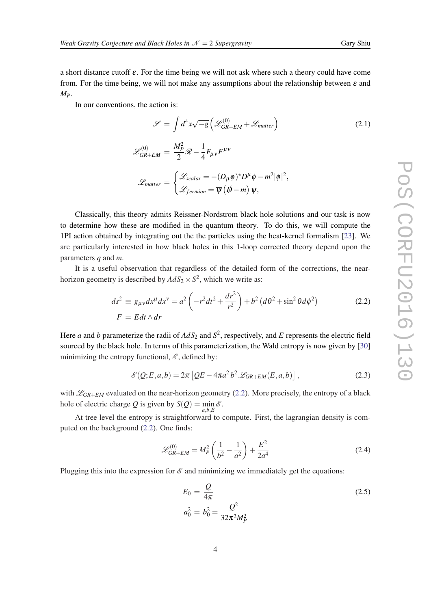<span id="page-4-0"></span>a short distance cutoff  $\varepsilon$ . For the time being we will not ask where such a theory could have come from. For the time being, we will not make any assumptions about the relationship between  $\varepsilon$  and *MP*.

In our conventions, the action is:

$$
\mathcal{S} = \int d^4x \sqrt{-g} \left( \mathcal{L}_{GR+EM}^{(0)} + \mathcal{L}_{matter} \right)
$$
  

$$
\mathcal{L}_{GR+EM}^{(0)} = \frac{M_P^2}{2} \mathcal{R} - \frac{1}{4} F_{\mu\nu} F^{\mu\nu}
$$
  

$$
\mathcal{L}_{matter} = \begin{cases} \mathcal{L}_{scalar} = -(D_\mu \phi)^* D^\mu \phi - m^2 |\phi|^2, \\ \mathcal{L}_{fermion} = \overline{\psi} (\not{p} - m) \psi, \end{cases}
$$
 (2.1)

Classically, this theory admits Reissner-Nordstrom black hole solutions and our task is now to determine how these are modified in the quantum theory. To do this, we will compute the 1PI action obtained by integrating out the the particles using the heat-kernel formalism [\[23](#page-14-0)]. We are particularly interested in how black holes in this 1-loop corrected theory depend upon the parameters *q* and *m*.

It is a useful observation that regardless of the detailed form of the corrections, the nearhorizon geometry is described by  $AdS_2 \times S^2$ , which we write as:

$$
ds^2 \equiv g_{\mu\nu} dx^{\mu} dx^{\nu} = a^2 \left( -r^2 dt^2 + \frac{dr^2}{r^2} \right) + b^2 \left( d\theta^2 + \sin^2 \theta d\phi^2 \right)
$$
\n
$$
F = E dt \wedge dr \tag{2.2}
$$

Here *a* and *b* parameterize the radii of  $AdS_2$  and  $S^2$ , respectively, and *E* represents the electric field sourced by the black hole. In terms of this parameterization, the Wald entropy is now given by [\[30](#page-15-0)] minimizing the entropy functional,  $\mathscr{E}$ , defined by:

$$
\mathcal{E}(Q;E,a,b) = 2\pi \left[QE - 4\pi a^2 b^2 \mathcal{L}_{GR+EM}(E,a,b)\right],\tag{2.3}
$$

with  $\mathcal{L}_{GR+EM}$  evaluated on the near-horizon geometry (2.2). More precisely, the entropy of a black hole of electric charge *Q* is given by  $S(Q) = \min_{a,b,E} \mathcal{E}$ .

At tree level the entropy is straightforward to compute. First, the lagrangian density is computed on the background (2.2). One finds:

$$
\mathcal{L}_{GR+EM}^{(0)} = M_P^2 \left( \frac{1}{b^2} - \frac{1}{a^2} \right) + \frac{E^2}{2a^4}
$$
 (2.4)

Plugging this into the expression for  $\mathscr E$  and minimizing we immediately get the equations:

$$
E_0 = \frac{Q}{4\pi}
$$
  
\n
$$
a_0^2 = b_0^2 = \frac{Q^2}{32\pi^2 M_P^2}
$$
\n(2.5)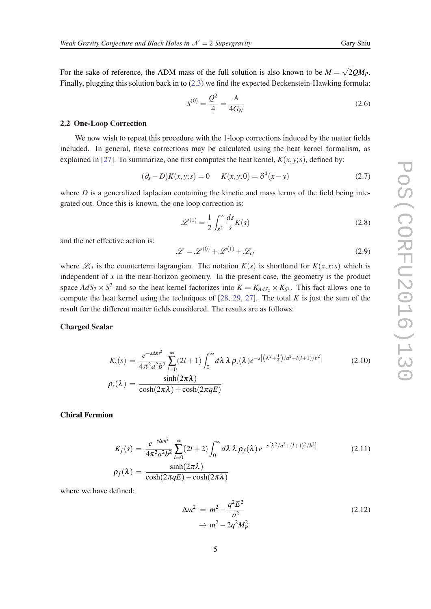<span id="page-5-0"></span>For the sake of reference, the ADM mass of the full solution is also known to be  $M =$ √ 2*QMP*. Finally, plugging this solution back in to [\(2.3\)](#page-4-0) we find the expected Beckenstein-Hawking formula:

$$
S^{(0)} = \frac{Q^2}{4} = \frac{A}{4G_N}
$$
 (2.6)

#### 2.2 One-Loop Correction

We now wish to repeat this procedure with the 1-loop corrections induced by the matter fields included. In general, these corrections may be calculated using the heat kernel formalism, as explained in [\[27](#page-15-0)]. To summarize, one first computes the heat kernel,  $K(x, y; s)$ , defined by:

$$
(\partial_s - D)K(x, y; s) = 0 \qquad K(x, y; 0) = \delta^4(x - y) \tag{2.7}
$$

where  $D$  is a generalized laplacian containing the kinetic and mass terms of the field being integrated out. Once this is known, the one loop correction is:

$$
\mathscr{L}^{(1)} = \frac{1}{2} \int_{\varepsilon^2}^{\infty} \frac{ds}{s} K(s) \tag{2.8}
$$

and the net effective action is:

$$
\mathcal{L} = \mathcal{L}^{(0)} + \mathcal{L}^{(1)} + \mathcal{L}_{ct}
$$
\n(2.9)

where  $\mathcal{L}_c$  is the counterterm lagrangian. The notation  $K(s)$  is shorthand for  $K(x, x; s)$  which is independent of *x* in the near-horizon geometry. In the present case, the geometry is the product space  $AdS_2 \times S^2$  and so the heat kernel factorizes into  $K = K_{AdS_2} \times K_{S^2}$ . This fact allows one to compute the heat kernel using the techniques of [[28](#page-15-0), [29,](#page-15-0) [27\]](#page-15-0). The total *K* is just the sum of the result for the different matter fields considered. The results are as follows:

## Charged Scalar

$$
K_s(s) = \frac{e^{-s\Delta m^2}}{4\pi^2 a^2 b^2} \sum_{l=0}^{\infty} (2l+1) \int_0^{\infty} d\lambda \lambda \rho_s(\lambda) e^{-s\left[ (\lambda^2 + \frac{1}{4})/a^2 + l(l+1)/b^2 \right]}
$$
\n
$$
\rho_s(\lambda) = \frac{\sinh(2\pi\lambda)}{\cosh(2\pi\lambda) + \cosh(2\pi qE)}
$$
\n(2.10)

# Chiral Fermion

$$
K_f(s) = \frac{e^{-s\Delta m^2}}{4\pi^2 a^2 b^2} \sum_{l=0}^{\infty} (2l+2) \int_0^{\infty} d\lambda \lambda \rho_f(\lambda) e^{-s[\lambda^2/a^2 + (l+1)^2/b^2]} \tag{2.11}
$$
  

$$
\rho_f(\lambda) = \frac{\sinh(2\pi\lambda)}{\cosh(2\pi qE) - \cosh(2\pi\lambda)}
$$

where we have defined:

$$
\Delta m^2 = m^2 - \frac{q^2 E^2}{a^2}
$$
\n
$$
\rightarrow m^2 - 2q^2 M_P^2
$$
\n(2.12)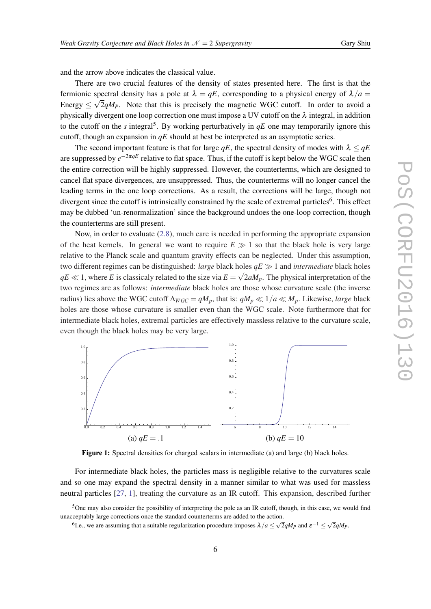<span id="page-6-0"></span>and the arrow above indicates the classical value.

There are two crucial features of the density of states presented here. The first is that the fermionic spectral density has a pole at  $\lambda = qE$ , corresponding to a physical energy of  $\lambda/a =$ Energy  $\leq \sqrt{2qM_P}$ . Note that this is precisely the magnetic WGC cutoff. In order to avoid a physically divergent one loop correction one must impose a UV cutoff on the  $\lambda$  integral, in addition to the cutoff on the *s* integral<sup>5</sup>. By working perturbatively in  $qE$  one may temporarily ignore this cutoff, though an expansion in *qE* should at best be interpreted as an asymptotic series.

The second important feature is that for large  $qE$ , the spectral density of modes with  $\lambda \leq qE$ are suppressed by *e* <sup>−</sup>2π*qE* relative to flat space. Thus, if the cutoff is kept below the WGC scale then the entire correction will be highly suppressed. However, the counterterms, which are designed to cancel flat space divergences, are unsuppressed. Thus, the counterterms will no longer cancel the leading terms in the one loop corrections. As a result, the corrections will be large, though not divergent since the cutoff is intrinsically constrained by the scale of extremal particles<sup>6</sup>. This effect may be dubbed 'un-renormalization' since the background undoes the one-loop correction, though the counterterms are still present.

Now, in order to evaluate ([2.8](#page-5-0)), much care is needed in performing the appropriate expansion of the heat kernels. In general we want to require  $E \gg 1$  so that the black hole is very large relative to the Planck scale and quantum gravity effects can be neglected. Under this assumption, two different regimes can be distinguished: *large* black holes  $qE \gg 1$  and *intermediate* black holes  $qE \ll 1$ , where *E* is classicaly related to the size via  $E = \sqrt{2aM_p}$ . The physical interpretation of the two regimes are as follows: *intermediate* black holes are those whose curvature scale (the inverse radius) lies above the WGC cutoff  $\Lambda_{WGC} = qM_p$ , that is:  $qM_p \ll 1/a \ll M_p$ . Likewise, *large* black holes are those whose curvature is smaller even than the WGC scale. Note furthermore that for intermediate black holes, extremal particles are effectively massless relative to the curvature scale, even though the black holes may be very large.



Figure 1: Spectral densities for charged scalars in intermediate (a) and large (b) black holes.

For intermediate black holes, the particles mass is negligible relative to the curvatures scale and so one may expand the spectral density in a manner similar to what was used for massless neutral particles [[27,](#page-15-0) [1](#page-13-0)], treating the curvature as an IR cutoff. This expansion, described further

 $5$ One may also consider the possibility of interpreting the pole as an IR cutoff, though, in this case, we would find unacceptably large corrections once the standard counterterms are added to the action.

 $^{6}$ Le., we are assuming that a suitable regularization procedure imposes  $λ/a ≤ √2qMp$  and  $ε^{-1} ≤ √2qMp$ .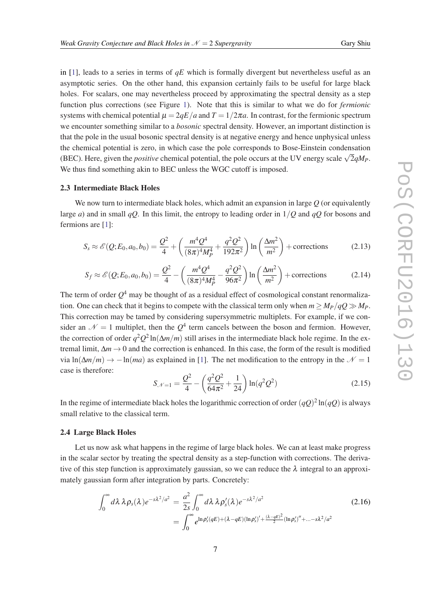<span id="page-7-0"></span>in [\[1](#page-13-0)], leads to a series in terms of *qE* which is formally divergent but nevertheless useful as an asymptotic series. On the other hand, this expansion certainly fails to be useful for large black holes. For scalars, one may nevertheless proceed by approximating the spectral density as a step function plus corrections (see Figure [1](#page-6-0)). Note that this is similar to what we do for *fermionic* systems with chemical potential  $\mu = 2qE/a$  and  $T = 1/2\pi a$ . In contrast, for the fermionic spectrum we encounter something similar to a *bosonic* spectral density. However, an important distinction is that the pole in the usual bosonic spectral density is at negative energy and hence unphysical unless the chemical potential is zero, in which case the pole corresponds to Bose-Einstein condensation (BEC). Here, given the *positive* chemical potential, the pole occurs at the UV energy scale  $\sqrt{2}qM_p$ . We thus find something akin to BEC unless the WGC cutoff is imposed.

## 2.3 Intermediate Black Holes

We now turn to intermediate black holes, which admit an expansion in large *Q* (or equivalently large *a*) and in small *qQ*. In this limit, the entropy to leading order in 1/*Q* and *qQ* for bosons and fermions are [[1\]](#page-13-0):

$$
S_s \approx \mathcal{E}(Q; E_0, a_0, b_0) = \frac{Q^2}{4} + \left(\frac{m^4 Q^4}{(8\pi)^4 M_P^4} + \frac{q^2 Q^2}{192\pi^2}\right) \ln\left(\frac{\Delta m^2}{m^2}\right) + \text{corrections}
$$
 (2.13)

$$
S_f \approx \mathcal{E}(Q; E_0, a_0, b_0) = \frac{Q^2}{4} - \left(\frac{m^4 Q^4}{(8\pi)^4 M_P^4} - \frac{q^2 Q^2}{96\pi^2}\right) \ln\left(\frac{\Delta m^2}{m^2}\right) + \text{corrections}
$$
 (2.14)

The term of order  $Q^4$  may be thought of as a residual effect of cosmological constant renormalization. One can check that it begins to compete with the classical term only when  $m \geq M_P/qQ \gg M_P$ . This correction may be tamed by considering supersymmetric multiplets. For example, if we consider an  $\mathcal{N} = 1$  multiplet, then the  $Q^4$  term cancels between the boson and fermion. However, the correction of order  $q^2Q^2\ln(\Delta m/m)$  still arises in the intermediate black hole regime. In the extremal limit,  $\Delta m \rightarrow 0$  and the correction is enhanced. In this case, the form of the result is modified via ln( $\Delta m/m$ )  $\rightarrow$  −ln(*ma*) as explained in [\[1\]](#page-13-0). The net modification to the entropy in the  $\mathcal{N} = 1$ case is therefore:

$$
S_{\mathcal{N}=1} = \frac{Q^2}{4} - \left(\frac{q^2 Q^2}{64\pi^2} + \frac{1}{24}\right) \ln(q^2 Q^2)
$$
 (2.15)

In the regime of intermediate black holes the logarithmic correction of order  $(qQ)^2 \ln(qQ)$  is always small relative to the classical term.

#### 2.4 Large Black Holes

Let us now ask what happens in the regime of large black holes. We can at least make progress in the scalar sector by treating the spectral density as a step-function with corrections. The derivative of this step function is approximately gaussian, so we can reduce the  $\lambda$  integral to an approximately gaussian form after integration by parts. Concretely:

$$
\int_0^\infty d\lambda \,\lambda \rho_s(\lambda) e^{-s\lambda^2/a^2} = \frac{a^2}{2s} \int_0^\infty d\lambda \,\lambda \rho_s'(\lambda) e^{-s\lambda^2/a^2}
$$
\n
$$
= \int_0^\infty e^{\ln \rho_s'(qE) + (\lambda - qE)(\ln \rho_s')' + \frac{(\lambda - qE)^2}{2}(\ln \rho_s'')'' + \dots - s\lambda^2/a^2}
$$
\n(2.16)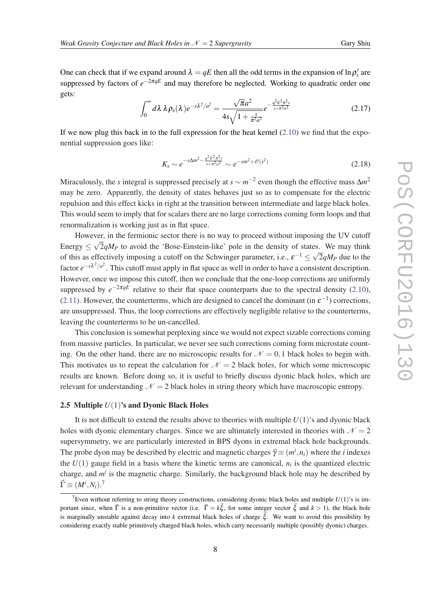<span id="page-8-0"></span>One can check that if we expand around  $\lambda = qE$  then all the odd terms in the expansion of  $\ln \rho_s'$  are suppressed by factors of  $e^{-2πqE}$  and may therefore be neglected. Working to quadratic order one gets: √

$$
\int_0^{\infty} d\lambda \, \lambda \rho_s(\lambda) e^{-s\lambda^2/a^2} = \frac{\sqrt{\pi a^2}}{4s\sqrt{1 + \frac{s}{\pi^2 a^2}}} e^{-\frac{q^2 E^2 \pi^2 s}{s + \pi^2 a^2}}
$$
(2.17)

If we now plug this back in to the full expression for the heat kernel  $(2.10)$  $(2.10)$  we find that the exponential suppression goes like:

$$
K_s \sim e^{-s\Delta m^2 - \frac{q^2 E^2 \pi^2 s}{s + \pi^2 a^2}} \sim e^{-s m^2 + \mathcal{O}(s^2)}
$$
\n(2.18)

Miraculously, the *s* integral is suppressed precisely at  $s \sim m^{-2}$  even though the effective mass  $\Delta m^2$ may be zero. Apparently, the density of states behaves just so as to compensate for the electric repulsion and this effect kicks in right at the transition between intermediate and large black holes. This would seem to imply that for scalars there are no large corrections coming form loops and that renormalization is working just as in flat space.

However, in the fermionic sector there is no way to proceed without imposing the UV cutoff Energy  $\leq \sqrt{2q}M_P$  to avoid the 'Bose-Einstein-like' pole in the density of states. We may think of this as effectively imposing a cutoff on the Schwinger parameter, i.e.,  $\varepsilon^{-1} \le \sqrt{2} q M_P$  due to the factor *e*<sup>-*sλ*<sup>2</sup>/*a*<sup>2</sup>. This cutoff must apply in flat space as well in order to have a consistent description.</sup> However, once we impose this cutoff, then we conclude that the one-loop corrections are uniformly suppressed by  $e^{-2\pi qE}$  relative to their flat space counterparts due to the spectral density [\(2.10\)](#page-5-0), ([2.11](#page-5-0)). However, the counterterms, which are designed to cancel the dominant (in  $\varepsilon^{-1}$ ) corrections, are unsuppressed. Thus, the loop corrections are effectively negligible relative to the counterterms, leaving the counterterms to be un-cancelled.

This conclusion is somewhat perplexing since we would not expect sizable corrections coming from massive particles. In particular, we never see such corrections coming form microstate counting. On the other hand, there are no microscopic results for  $\mathcal{N} = 0,1$  black holes to begin with. This motivates us to repeat the calculation for  $\mathcal{N} = 2$  black holes, for which some microscopic results are known. Before doing so, it is useful to briefly discuss dyonic black holes, which are relevant for understanding  $N = 2$  black holes in string theory which have macroscopic entropy.

#### 2.5 Multiple *U*(1)'s and Dyonic Black Holes

It is not difficult to extend the results above to theories with multiple  $U(1)$ 's and dyonic black holes with dyonic elementary charges. Since we are ultimately interested in theories with  $\mathcal{N} = 2$ supersymmetry, we are particularly interested in BPS dyons in extremal black hole backgrounds. The probe dyon may be described by electric and magnetic charges  $\vec{\gamma} \equiv (m^i, n_i)$  where the *i* indexes the  $U(1)$  gauge field in a basis where the kinetic terms are canonical,  $n_i$  is the quantized electric charge, and  $m^i$  is the magnetic charge. Similarly, the background black hole may be described by  $\vec{\Gamma} \equiv (M^i, N_i).^7$ 

<sup>&</sup>lt;sup>7</sup>Even without referring to string theory constructions, considering dyonic black holes and multiple  $U(1)$ 's is important since, when  $\vec{\Gamma}$  is a non-primitive vector (i.e.  $\vec{\Gamma} = k \vec{\xi}$ , for some integer vector  $\vec{\xi}$  and  $k > 1$ ), the black hole is marginally unstable against decay into *k* extremal black holes of charge  $\vec{\xi}$ . We want to avoid this possibility by considering exactly stable primitively charged black holes, which carry necessarily multiple (possibly dyonic) charges.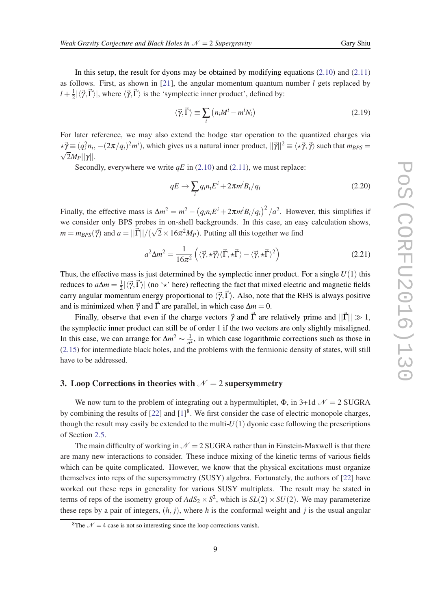<span id="page-9-0"></span>In this setup, the result for dyons may be obtained by modifying equations  $(2.10)$  $(2.10)$  and  $(2.11)$  $(2.11)$ as follows. First, as shown in [[21\]](#page-14-0), the angular momentum quantum number *l* gets replaced by  $l + \frac{1}{2}$  $\frac{1}{2}|\langle \vec{\gamma}, \vec{\Gamma} \rangle|$ , where  $\langle \vec{\gamma}, \vec{\Gamma} \rangle$  is the 'symplectic inner product', defined by:

$$
\langle \vec{\gamma}, \vec{\Gamma} \rangle \equiv \sum_{i} \left( n_i M^i - m^i N_i \right) \tag{2.19}
$$

For later reference, we may also extend the hodge star operation to the quantized charges via  $\star \vec{\gamma} \equiv (q_i^2 n_i, -(2\pi/q_i)^2 m^i)$ , which gives us a natural inner product,  $||\vec{\gamma}||^2 \equiv \langle \star \vec{\gamma}, \vec{\gamma} \rangle$  such that  $m_{BPS} = \langle \star \vec{\gamma}, \star \rangle$  $\sqrt{2}M_P||\gamma||$ .

Secondly, everywhere we write *qE* in [\(2.10](#page-5-0)) and ([2.11\)](#page-5-0), we must replace:

$$
qE \to \sum_{i} q_i n_i E^i + 2\pi m^i B_i / q_i \tag{2.20}
$$

Finally, the effective mass is  $\Delta m^2 = m^2 - (q_i n_i E^i + 2\pi m^i B_i / q_i)^2 / a^2$ . However, this simplifies if we consider only BPS probes in on-shell backgrounds. In this case, an easy calculation shows,  $m = m_{BPS}(\vec{\gamma})$  and  $a = ||\vec{\Gamma}||/(\sqrt{2} \times 16\pi^2 M_P)$ . Putting all this together we find

$$
a^2 \Delta m^2 = \frac{1}{16\pi^2} \left( \langle \vec{\gamma}, \star \vec{\gamma} \rangle \langle \vec{\Gamma}, \star \vec{\Gamma} \rangle - \langle \vec{\gamma}, \star \vec{\Gamma} \rangle^2 \right)
$$
 (2.21)

Thus, the effective mass is just determined by the symplectic inner product. For a single  $U(1)$  this reduces to  $a\Delta m = \frac{1}{2}$  $\frac{1}{2}|\langle \vec{\gamma}, \vec{\Gamma} \rangle|$  (no '\*' here) reflecting the fact that mixed electric and magnetic fields carry angular momentum energy proportional to  $\langle \vec{\gamma}, \vec{\Gamma} \rangle$ . Also, note that the RHS is always positive and is minimized when  $\vec{\gamma}$  and  $\vec{\Gamma}$  are parallel, in which case  $\Delta m = 0$ .

Finally, observe that even if the charge vectors  $\vec{\gamma}$  and  $\vec{\Gamma}$  are relatively prime and  $||\vec{\Gamma}|| \gg 1$ , the symplectic inner product can still be of order 1 if the two vectors are only slightly misaligned. In this case, we can arrange for  $\Delta m^2 \sim \frac{1}{a^2}$  $\frac{1}{a^2}$ , in which case logarithmic corrections such as those in ([2.15](#page-7-0)) for intermediate black holes, and the problems with the fermionic density of states, will still have to be addressed.

# 3. Loop Corrections in theories with  $N = 2$  supersymmetry

We now turn to the problem of integrating out a hypermultiplet,  $\Phi$ , in 3+1d  $\mathcal{N} = 2$  SUGRA by combining the results of  $[22]$  $[22]$  and  $[1]^8$  $[1]^8$  $[1]^8$ . We first consider the case of electric monopole charges, though the result may easily be extended to the multi- $U(1)$  dyonic case following the prescriptions of Section [2.5](#page-8-0).

The main difficulty of working in  $\mathcal{N} = 2$  SUGRA rather than in Einstein-Maxwell is that there are many new interactions to consider. These induce mixing of the kinetic terms of various fields which can be quite complicated. However, we know that the physical excitations must organize themselves into reps of the supersymmetry (SUSY) algebra. Fortunately, the authors of [\[22](#page-14-0)] have worked out these reps in generality for various SUSY multiplets. The result may be stated in terms of reps of the isometry group of  $AdS_2 \times S^2$ , which is  $SL(2) \times SU(2)$ . We may parameterize these reps by a pair of integers,  $(h, j)$ , where h is the conformal weight and j is the usual angular

<sup>&</sup>lt;sup>8</sup>The  $\mathcal{N} = 4$  case is not so interesting since the loop corrections vanish.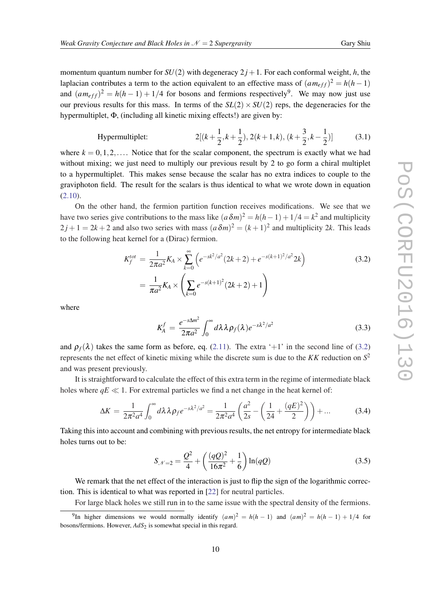<span id="page-10-0"></span>momentum quantum number for  $SU(2)$  with degeneracy  $2j+1$ . For each conformal weight, *h*, the laplacian contributes a term to the action equivalent to an effective mass of  $(am_{eff})^2 = h(h-1)$ and  $(am_{eff})^2 = h(h-1) + 1/4$  for bosons and fermions respectively<sup>9</sup>. We may now just use our previous results for this mass. In terms of the  $SL(2) \times SU(2)$  reps, the degeneracies for the hypermultiplet, Φ, (including all kinetic mixing effects!) are given by:

Hypermultiplet: 
$$
2[(k+\frac{1}{2},k+\frac{1}{2}), 2(k+1,k), (k+\frac{3}{2},k-\frac{1}{2})]
$$
(3.1)

where  $k = 0, 1, 2, \ldots$ . Notice that for the scalar component, the spectrum is exactly what we had without mixing; we just need to multiply our previous result by 2 to go form a chiral multiplet to a hypermultiplet. This makes sense because the scalar has no extra indices to couple to the graviphoton field. The result for the scalars is thus identical to what we wrote down in equation ([2.10](#page-5-0)).

On the other hand, the fermion partition function receives modifications. We see that we have two series give contributions to the mass like  $(a\delta m)^2 = h(h-1) + 1/4 = k^2$  and multiplicity  $2j+1 = 2k+2$  and also two series with mass  $(a\delta m)^2 = (k+1)^2$  and multiplicity 2k. This leads to the following heat kernel for a (Dirac) fermion.

$$
K_f^{tot} = \frac{1}{2\pi a^2} K_A \times \sum_{k=0}^{\infty} \left( e^{-sk^2/a^2} (2k+2) + e^{-s(k+1)^2/a^2} 2k \right)
$$
  
= 
$$
\frac{1}{\pi a^2} K_A \times \left( \sum_{k=0}^{\infty} e^{-s(k+1)^2} (2k+2) + 1 \right)
$$
 (3.2)

where

$$
K_A^f = \frac{e^{-s\Delta m^2}}{2\pi a^2} \int_0^\infty d\lambda \lambda \rho_f(\lambda) e^{-s\lambda^2/a^2}
$$
 (3.3)

and  $\rho_f(\lambda)$  takes the same form as before, eq. ([2.11\)](#page-5-0). The extra '+1' in the second line of (3.2) represents the net effect of kinetic mixing while the discrete sum is due to the *KK* reduction on *S* 2 and was present previously.

It is straightforward to calculate the effect of this extra term in the regime of intermediate black holes where  $qE \ll 1$ . For extremal particles we find a net change in the heat kernel of:

$$
\Delta K = \frac{1}{2\pi^2 a^4} \int_0^\infty d\lambda \lambda \rho_f e^{-s\lambda^2/a^2} = \frac{1}{2\pi^2 a^4} \left( \frac{a^2}{2s} - \left( \frac{1}{24} + \frac{(qE)^2}{2} \right) \right) + \dots
$$
 (3.4)

Taking this into account and combining with previous results, the net entropy for intermediate black holes turns out to be:

$$
S_{\mathcal{N}=2} = \frac{Q^2}{4} + \left(\frac{(qQ)^2}{16\pi^2} + \frac{1}{6}\right) \ln(qQ) \tag{3.5}
$$

We remark that the net effect of the interaction is just to flip the sign of the logarithmic correction. This is identical to what was reported in [\[22](#page-14-0)] for neutral particles.

For large black holes we still run in to the same issue with the spectral density of the fermions.

<sup>&</sup>lt;sup>9</sup>In higher dimensions we would normally identify  $(am)^2 = h(h-1)$  and  $(am)^2 = h(h-1) + 1/4$  for bosons/fermions. However,  $AdS_2$  is somewhat special in this regard.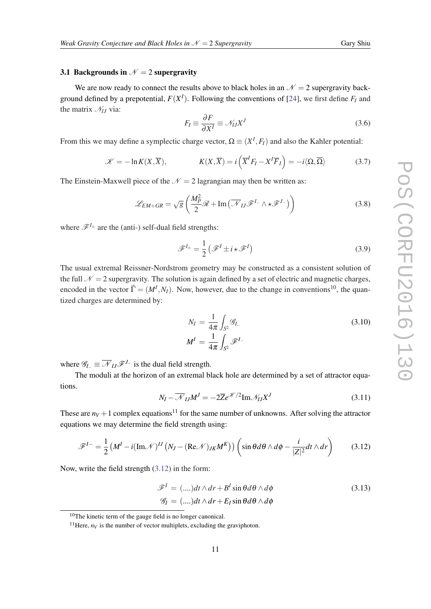## <span id="page-11-0"></span>3.1 Backgrounds in  $\mathcal{N}=2$  supergravity

We are now ready to connect the results above to black holes in an  $\mathcal{N} = 2$  supergravity background defined by a prepotential,  $F(X^I)$ . Following the conventions of [\[24](#page-14-0)], we first define  $F_I$  and the matrix  $\mathcal{N}_I$  via:

$$
F_I \equiv \frac{\partial F}{\partial X^I} \equiv \mathcal{N}_{IJ} X^J \tag{3.6}
$$

From this we may define a symplectic charge vector,  $\Omega \equiv (X^I, F_I)$  and also the Kahler potential:

$$
\mathcal{K} = -\ln K(X,\overline{X}), \qquad K(X,\overline{X}) = i\left(\overline{X}^I F_I - X^I \overline{F}_I\right) = -i\langle\Omega,\overline{\Omega}\rangle \tag{3.7}
$$

The Einstein-Maxwell piece of the  $N = 2$  lagrangian may then be written as:

$$
\mathcal{L}_{EM+GR} = \sqrt{g} \left( \frac{M_P^2}{2} \mathcal{R} + \text{Im} \left( \overline{\mathcal{N}}_{IJ} \mathcal{F}^{I_-} \wedge \star \mathcal{F}^{J_-} \right) \right)
$$
(3.8)

where  $\mathscr{F}^{I_{\pm}}$  are the (anti-) self-dual field strengths:

$$
\mathcal{F}^{I_{\pm}} = \frac{1}{2} \left( \mathcal{F}^{I} \pm i \star \mathcal{F}^{I} \right)
$$
 (3.9)

The usual extremal Reissner-Nordstrom geometry may be constructed as a consistent solution of the full  $\mathcal{N} = 2$  supergravity. The solution is again defined by a set of electric and magnetic charges, encoded in the vector  $\vec{\Gamma} = (M^I, N_I)$ . Now, however, due to the change in conventions<sup>10</sup>, the quantized charges are determined by:

$$
N_I = \frac{1}{4\pi} \int_{S^2} \mathcal{G}_{I-}
$$
  

$$
M^I = \frac{1}{4\pi} \int_{S^2} \mathcal{F}^{I-}
$$
 (3.10)

where  $\mathscr{G}_I = \overline{\mathscr{N}}_{II} \mathscr{F}^{J_-}$  is the dual field strength.

The moduli at the horizon of an extremal black hole are determined by a set of attractor equations.

$$
N_I - \overline{\mathcal{N}}_{IJ} M^J = -2\overline{Z} e^{\mathcal{K}/2} \text{Im} \mathcal{N}_{IJ} X^J \tag{3.11}
$$

These are  $n_V + 1$  complex equations<sup>11</sup> for the same number of unknowns. After solving the attractor equations we may determine the field strength using:

$$
\mathscr{F}^{I-} = \frac{1}{2} \left( M^I - i(\text{Im}\mathcal{N})^{II} \left( N_J - (\text{Re}\mathcal{N})_{JK} M^K \right) \right) \left( \sin \theta d\theta \wedge d\phi - \frac{i}{|Z|^2} dt \wedge dr \right) \tag{3.12}
$$

Now, write the field strength (3.12) in the form:

$$
\mathcal{F}^{I} = (....)dt \wedge dr + B^{I} \sin \theta d\theta \wedge d\phi
$$
\n
$$
\mathcal{G}_{I} = (....)dt \wedge dr + E_{I} \sin \theta d\theta \wedge d\phi
$$
\n(3.13)

<sup>10</sup>The kinetic term of the gauge field is no longer canonical.

<sup>&</sup>lt;sup>11</sup>Here,  $n_V$  is the number of vector multiplets, excluding the graviphoton.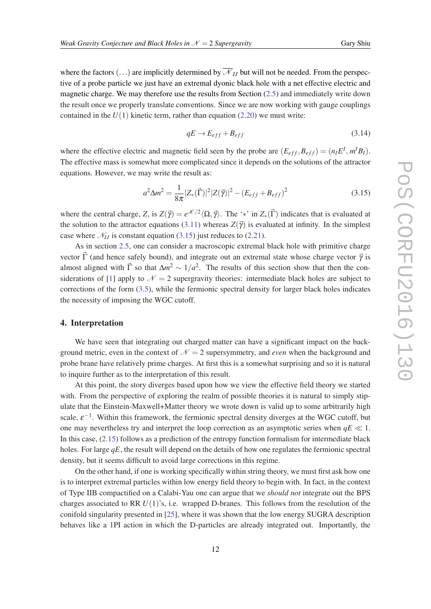<span id="page-12-0"></span>where the factors  $(...)$  are implicitly determined by  $\overline{\mathcal{N}}_{II}$  but will not be needed. From the perspective of a probe particle we just have an extremal dyonic black hole with a net effective electric and magnetic charge. We may therefore use the results from Section ([2.5](#page-8-0)) and immediately write down the result once we properly translate conventions. Since we are now working with gauge couplings contained in the  $U(1)$  kinetic term, rather than equation [\(2.20](#page-9-0)) we must write:

$$
qE \to E_{eff} + B_{eff} \tag{3.14}
$$

where the effective electric and magnetic field seen by the probe are  $(E_{eff}, B_{eff}) = (n_I E^I, m^I B_I)$ . The effective mass is somewhat more complicated since it depends on the solutions of the attractor equations. However, we may write the result as:

$$
a^2 \Delta m^2 = \frac{1}{8\pi} |Z_* (\vec{\Gamma})|^2 |Z(\vec{\gamma})|^2 - (E_{eff} + B_{eff})^2
$$
\n(3.15)

where the central charge, *Z*, is  $Z(\vec{\gamma}) = e^{\mathcal{K}/2} \langle \Omega, \vec{\gamma} \rangle$ . The '\*' in  $Z_*(\vec{\Gamma})$  indicates that is evaluated at the solution to the attractor equations [\(3.11](#page-11-0)) whereas  $Z(\vec{\gamma})$  is evaluated at infinity. In the simplest case where  $\mathcal{N}_{IJ}$  is constant equation (3.15) just reduces to [\(2.21](#page-9-0)).

As in section [2.5](#page-8-0), one can consider a macroscopic extremal black hole with primitive charge vector  $\vec{\Gamma}$  (and hence safely bound), and integrate out an extremal state whose charge vector  $\vec{\gamma}$  is almost aligned with  $\vec{\Gamma}$  so that  $\Delta m^2 \sim 1/a^2$ . The results of this section show that then the con-siderations of [\[1\]](#page-13-0) apply to  $\mathcal{N} = 2$  supergravity theories: intermediate black holes are subject to corrections of the form ([3.5](#page-10-0)), while the fermionic spectral density for larger black holes indicates the necessity of imposing the WGC cutoff.

## 4. Interpretation

We have seen that integrating out charged matter can have a significant impact on the background metric, even in the context of  $\mathcal{N} = 2$  supersymmetry, and *even* when the background and probe brane have relatively prime charges. At first this is a somewhat surprising and so it is natural to inquire further as to the interpretation of this result.

At this point, the story diverges based upon how we view the effective field theory we started with. From the perspective of exploring the realm of possible theories it is natural to simply stipulate that the Einstein-Maxwell+Matter theory we wrote down is valid up to some arbitrarily high scale,  $\varepsilon^{-1}$ . Within this framework, the fermionic spectral density diverges at the WGC cutoff, but one may nevertheless try and interpret the loop correction as an asymptotic series when  $qE \ll 1$ . In this case, ([2.15\)](#page-7-0) follows as a prediction of the entropy function formalism for intermediate black holes. For large *qE*, the result will depend on the details of how one regulates the fermionic spectral density, but it seems difficult to avoid large corrections in this regime.

On the other hand, if one is working specifically within string theory, we must first ask how one is to interpret extremal particles within low energy field theory to begin with. In fact, in the context of Type IIB compactified on a Calabi-Yau one can argue that we *should not* integrate out the BPS charges associated to RR *U*(1)'s, i.e. wrapped D-branes. This follows from the resolution of the conifold singularity presented in [[25](#page-14-0)], where it was shown that the low energy SUGRA description behaves like a 1PI action in which the D-particles are already integrated out. Importantly, the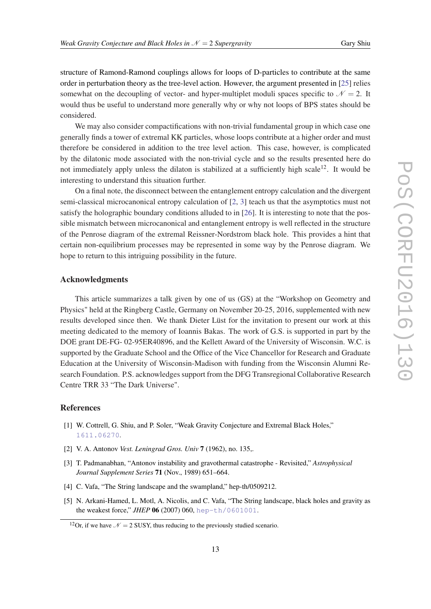<span id="page-13-0"></span>structure of Ramond-Ramond couplings allows for loops of D-particles to contribute at the same order in perturbation theory as the tree-level action. However, the argument presented in [\[25](#page-14-0)] relies somewhat on the decoupling of vector- and hyper-multiplet moduli spaces specific to  $\mathcal{N} = 2$ . It would thus be useful to understand more generally why or why not loops of BPS states should be considered.

We may also consider compactifications with non-trivial fundamental group in which case one generally finds a tower of extremal KK particles, whose loops contribute at a higher order and must therefore be considered in addition to the tree level action. This case, however, is complicated by the dilatonic mode associated with the non-trivial cycle and so the results presented here do not immediately apply unless the dilaton is stabilized at a sufficiently high scale<sup>12</sup>. It would be interesting to understand this situation further.

On a final note, the disconnect between the entanglement entropy calculation and the divergent semi-classical microcanonical entropy calculation of [2, 3] teach us that the asymptotics must not satisfy the holographic boundary conditions alluded to in [\[26](#page-14-0)]. It is interesting to note that the possible mismatch between microcanonical and entanglement entropy is well reflected in the structure of the Penrose diagram of the extremal Reissner-Nordstrom black hole. This provides a hint that certain non-equilibrium processes may be represented in some way by the Penrose diagram. We hope to return to this intriguing possibility in the future.

## Acknowledgments

This article summarizes a talk given by one of us (GS) at the "Workshop on Geometry and Physics" held at the Ringberg Castle, Germany on November 20-25, 2016, supplemented with new results developed since then. We thank Dieter Lüst for the invitation to present our work at this meeting dedicated to the memory of Ioannis Bakas. The work of G.S. is supported in part by the DOE grant DE-FG- 02-95ER40896, and the Kellett Award of the University of Wisconsin. W.C. is supported by the Graduate School and the Office of the Vice Chancellor for Research and Graduate Education at the University of Wisconsin-Madison with funding from the Wisconsin Alumni Research Foundation. P.S. acknowledges support from the DFG Transregional Collaborative Research Centre TRR 33 "The Dark Universe".

# References

- [1] W. Cottrell, G. Shiu, and P. Soler, "Weak Gravity Conjecture and Extremal Black Holes," [1611.06270](http://www.arXiv.org/abs/1611.06270).
- [2] V. A. Antonov *Vest. Leningrad Gros. Univ* 7 (1962), no. 135,.
- [3] T. Padmanabhan, "Antonov instability and gravothermal catastrophe Revisited," *Astrophysical Journal Supplement Series* 71 (Nov., 1989) 651–664.
- [4] C. Vafa, "The String landscape and the swampland," hep-th/0509212.
- [5] N. Arkani-Hamed, L. Motl, A. Nicolis, and C. Vafa, "The String landscape, black holes and gravity as the weakest force," *JHEP* 06 (2007) 060, [hep-th/0601001](http://www.arXiv.org/abs/hep-th/0601001).

<sup>&</sup>lt;sup>12</sup>Or, if we have  $\mathcal{N} = 2$  SUSY, thus reducing to the previously studied scenario.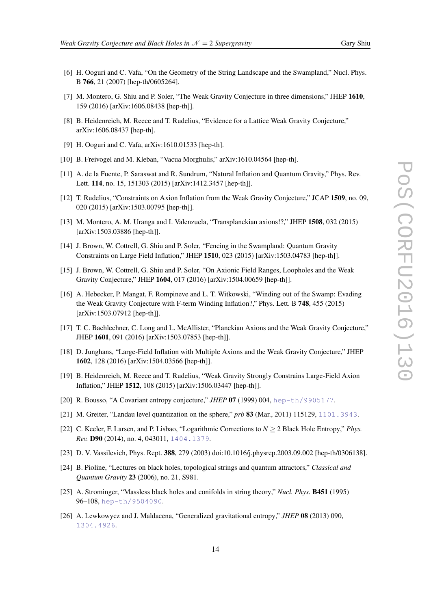- <span id="page-14-0"></span>[6] H. Ooguri and C. Vafa, "On the Geometry of the String Landscape and the Swampland," Nucl. Phys. B 766, 21 (2007) [hep-th/0605264].
- [7] M. Montero, G. Shiu and P. Soler, "The Weak Gravity Conjecture in three dimensions," JHEP 1610, 159 (2016) [arXiv:1606.08438 [hep-th]].
- [8] B. Heidenreich, M. Reece and T. Rudelius, "Evidence for a Lattice Weak Gravity Conjecture," arXiv:1606.08437 [hep-th].
- [9] H. Ooguri and C. Vafa, arXiv:1610.01533 [hep-th].
- [10] B. Freivogel and M. Kleban, "Vacua Morghulis," arXiv:1610.04564 [hep-th].
- [11] A. de la Fuente, P. Saraswat and R. Sundrum, "Natural Inflation and Quantum Gravity," Phys. Rev. Lett. 114, no. 15, 151303 (2015) [arXiv:1412.3457 [hep-th]].
- [12] T. Rudelius, "Constraints on Axion Inflation from the Weak Gravity Conjecture," JCAP 1509, no. 09, 020 (2015) [arXiv:1503.00795 [hep-th]].
- [13] M. Montero, A. M. Uranga and I. Valenzuela, "Transplanckian axions!?," JHEP 1508, 032 (2015) [arXiv:1503.03886 [hep-th]].
- [14] J. Brown, W. Cottrell, G. Shiu and P. Soler, "Fencing in the Swampland: Quantum Gravity Constraints on Large Field Inflation," JHEP 1510, 023 (2015) [arXiv:1503.04783 [hep-th]].
- [15] J. Brown, W. Cottrell, G. Shiu and P. Soler, "On Axionic Field Ranges, Loopholes and the Weak Gravity Conjecture," JHEP 1604, 017 (2016) [arXiv:1504.00659 [hep-th]].
- [16] A. Hebecker, P. Mangat, F. Rompineve and L. T. Witkowski, "Winding out of the Swamp: Evading the Weak Gravity Conjecture with F-term Winding Inflation?," Phys. Lett. B 748, 455 (2015) [arXiv:1503.07912 [hep-th]].
- [17] T. C. Bachlechner, C. Long and L. McAllister, "Planckian Axions and the Weak Gravity Conjecture," JHEP 1601, 091 (2016) [arXiv:1503.07853 [hep-th]].
- [18] D. Junghans, "Large-Field Inflation with Multiple Axions and the Weak Gravity Conjecture," JHEP 1602, 128 (2016) [arXiv:1504.03566 [hep-th]].
- [19] B. Heidenreich, M. Reece and T. Rudelius, "Weak Gravity Strongly Constrains Large-Field Axion Inflation," JHEP 1512, 108 (2015) [arXiv:1506.03447 [hep-th]].
- [20] R. Bousso, "A Covariant entropy conjecture," *JHEP* 07 (1999) 004, [hep-th/9905177](http://www.arXiv.org/abs/hep-th/9905177).
- [21] M. Greiter, "Landau level quantization on the sphere," *prb* 83 (Mar., 2011) 115129, [1101.3943](http://www.arXiv.org/abs/1101.3943).
- [22] C. Keeler, F. Larsen, and P. Lisbao, "Logarithmic Corrections to  $N \ge 2$  Black Hole Entropy," *Phys. Rev.* D90 (2014), no. 4, 043011, [1404.1379](http://www.arXiv.org/abs/1404.1379).
- [23] D. V. Vassilevich, Phys. Rept. 388, 279 (2003) doi:10.1016/j.physrep.2003.09.002 [hep-th/0306138].
- [24] B. Pioline, "Lectures on black holes, topological strings and quantum attractors," *Classical and Quantum Gravity* 23 (2006), no. 21, S981.
- [25] A. Strominger, "Massless black holes and conifolds in string theory," *Nucl. Phys.* B451 (1995) 96–108, [hep-th/9504090](http://www.arXiv.org/abs/hep-th/9504090).
- [26] A. Lewkowycz and J. Maldacena, "Generalized gravitational entropy," *JHEP* 08 (2013) 090, [1304.4926](http://www.arXiv.org/abs/1304.4926).